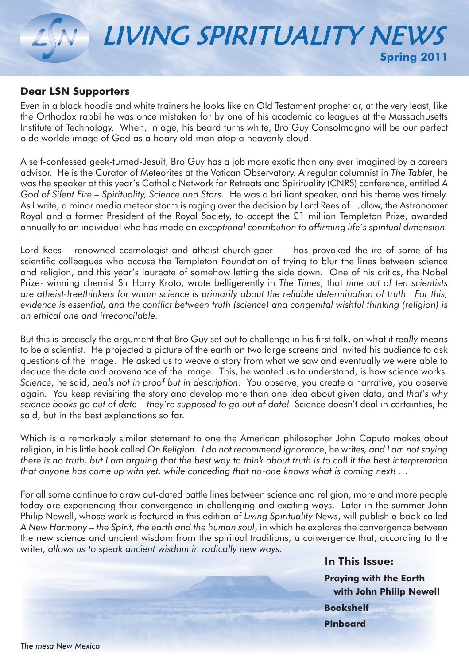# LIVING SPIRITUALITY NEWS **Spring 2011**

### **Dear LSN Supporters**

Even in a black hoodie and white trainers he looks like an Old Testament prophet or, at the very least, like the Orthodox rabbi he was once mistaken for by one of his academic colleagues at the Massachusetts Institute of Technology. When, in age, his beard turns white, Bro Guy Consolmagno will be our perfect olde worlde image of God as a hoary old man atop a heavenly cloud.

A self-confessed geek-turned-Jesuit, Bro Guy has a job more exotic than any ever imagined by a careers advisor. He is the Curator of Meteorites at the Vatican Observatory. A regular columnist in *The Tablet*, he was the speaker at this year's Catholic Network for Retreats and Spirituality (CNRS) conference, entitled *A God of Silent Fire – Spirituality, Science and Stars*. He was a brilliant speaker, and his theme was timely. As I write, a minor media meteor storm is raging over the decision by Lord Rees of Ludlow, the Astronomer Royal and a former President of the Royal Society, to accept the £1 million Templeton Prize, awarded annually to an individual who has made an *exceptional contribution to affirming life's spiritual dimension.*

Lord Rees – renowned cosmologist and atheist church-goer – has provoked the ire of some of his scientific colleagues who accuse the Templeton Foundation of trying to blur the lines between science and religion, and this year's laureate of somehow letting the side down. One of his critics, the Nobel Prize- winning chemist Sir Harry Kroto, wrote belligerently in *The Times*, that *nine out of ten scientists are atheist-freethinkers for whom science is primarily about the reliable determination of truth. For this, evidence is essential, and the conflict between truth (science) and congenital wishful thinking (religion) is an ethical one and irreconcilable.* 

But this is precisely the argument that Bro Guy set out to challenge in his first talk, on what it *really* means to be a scientist. He projected a picture of the earth on two large screens and invited his audience to ask questions of the image. He asked us to weave a story from what we saw and eventually we were able to deduce the date and provenance of the image. This, he wanted us to understand, is how science works. *Science*, he said, *deals not in proof but in description*. You observe, you create a narrative, you observe again. You keep revisiting the story and develop more than one idea about given data, and *that's why science books go out of date – they're supposed to go out of date!* Science doesn't deal in certainties, he said, but in the best explanations so far.

Which is a remarkably similar statement to one the American philosopher John Caputo makes about religion, in his little book called *On Religion*. *I do not recommend ignorance*, he writes*, and I am not saying there is no truth, but I am arguing that the best way to think about truth is to call it the best interpretation that anyone has come up with yet, while conceding that no-one knows what is coming next! …* 

For all some continue to draw out-dated battle lines between science and religion, more and more people today are experiencing their convergence in challenging and exciting ways. Later in the summer John Philip Newell, whose work is featured in this edition of *Living Spirituality News*, will publish a book called *A New Harmony – the Spirit, the earth and the human soul*, in which he explores the convergence between the new science and ancient wisdom from the spiritual traditions, a convergence that, according to the writer, *allows us to speak ancient wisdom in radically new ways.*

> **In This Issue: Praying with the Earth with John Philip Newell Bookshelf Pinboard**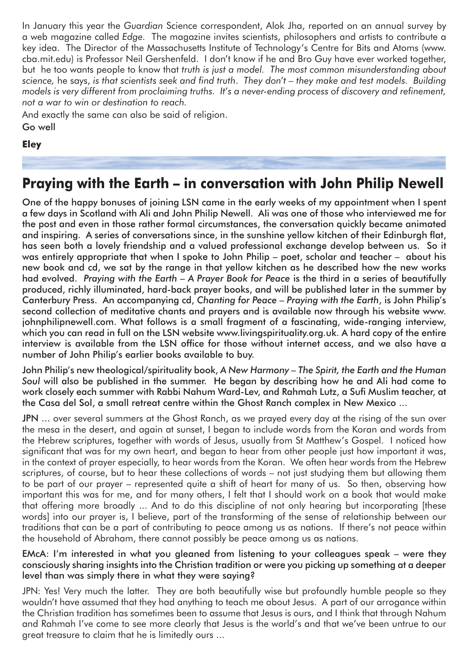In January this year the *Guardian* Science correspondent, Alok Jha, reported on an annual survey by a web magazine called *Edge.* The magazine invites scientists, philosophers and artists to contribute a key idea. The Director of the Massachusetts Institute of Technology's Centre for Bits and Atoms (www. cba.mit.edu) is Professor Neil Gershenfeld. I don't know if he and Bro Guy have ever worked together, but he too wants people to know that *truth is just a model. The most common misunderstanding about science,* he says, *is that scientists seek and find truth*. *They don't – they make and test models. Building models is very different from proclaiming truths. It's a never-ending process of discovery and refinement, not a war to win or destination to reach.*

And exactly the same can also be said of religion.

Go well

### **Eley**

### **Praying with the Earth – in conversation with John Philip Newell**

One of the happy bonuses of joining LSN came in the early weeks of my appointment when I spent a few days in Scotland with Ali and John Philip Newell. Ali was one of those who interviewed me for the post and even in those rather formal circumstances, the conversation quickly became animated and inspiring. A series of conversations since, in the sunshine yellow kitchen of their Edinburgh flat, has seen both a lovely friendship and a valued professional exchange develop between us. So it was entirely appropriate that when I spoke to John Philip – poet, scholar and teacher – about his new book and cd, we sat by the range in that yellow kitchen as he described how the new works had evolved. *Praying with the Earth – A Prayer Book for Peace* is the third in a series of beautifully produced, richly illuminated, hard-back prayer books, and will be published later in the summer by Canterbury Press. An accompanying cd, *Chanting for Peace – Praying with the Earth*, is John Philip's second collection of meditative chants and prayers and is available now through his website www. johnphilipnewell.com. What follows is a small fragment of a fascinating, wide-ranging interview, which you can read in full on the LSN website www.livingspirituality.org.uk. A hard copy of the entire interview is available from the LSN office for those without internet access, and we also have a number of John Philip's earlier books available to buy.

John Philip's new theological/spirituality book, *A New Harmony – The Spirit, the Earth and the Human Soul* will also be published in the summer. He began by describing how he and Ali had come to work closely each summer with Rabbi Nahum Ward-Lev, and Rahmah Lutz, a Sufi Muslim teacher, at the Casa del Sol, a small retreat centre within the Ghost Ranch complex in New Mexico ...

JPN ... over several summers at the Ghost Ranch, as we prayed every day at the rising of the sun over the mesa in the desert, and again at sunset, I began to include words from the Koran and words from the Hebrew scriptures, together with words of Jesus, usually from St Matthew's Gospel. I noticed how significant that was for my own heart, and began to hear from other people just how important it was, in the context of prayer especially, to hear words from the Koran. We often hear words from the Hebrew scriptures, of course, but to hear these collections of words – not just studying them but allowing them to be part of our prayer – represented quite a shift of heart for many of us. So then, observing how important this was for me, and for many others, I felt that I should work on a book that would make that offering more broadly ... And to do this discipline of not only hearing but incorporating [these words] into our prayer is, I believe, part of the transforming of the sense of relationship between our traditions that can be a part of contributing to peace among us as nations. If there's not peace within the household of Abraham, there cannot possibly be peace among us as nations.

#### EMcA: I'm interested in what you gleaned from listening to your colleagues speak – were they consciously sharing insights into the Christian tradition or were you picking up something at a deeper level than was simply there in what they were saying?

JPN: Yes! Very much the latter. They are both beautifully wise but profoundly humble people so they wouldn't have assumed that they had anything to teach me about Jesus. A part of our arrogance within the Christian tradition has sometimes been to assume that Jesus is ours, and I think that through Nahum and Rahmah I've come to see more clearly that Jesus is the world's and that we've been untrue to our great treasure to claim that he is limitedly ours ...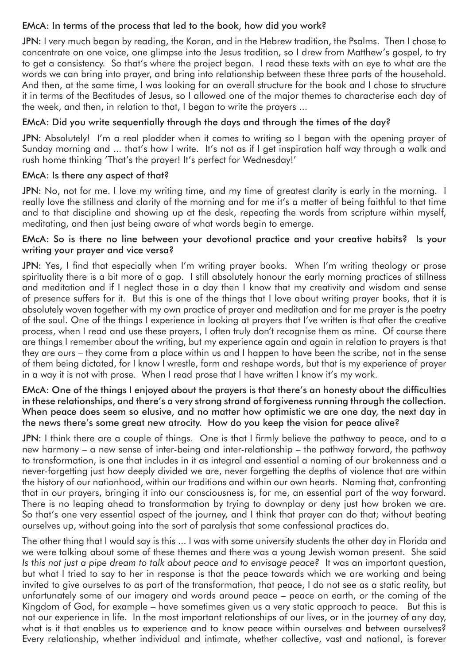#### EMcA: In terms of the process that led to the book, how did you work?

JPN: I very much began by reading, the Koran, and in the Hebrew tradition, the Psalms. Then I chose to concentrate on one voice, one glimpse into the Jesus tradition, so I drew from Matthew's gospel, to try to get a consistency. So that's where the project began. I read these texts with an eye to what are the words we can bring into prayer, and bring into relationship between these three parts of the household. And then, at the same time, I was looking for an overall structure for the book and I chose to structure it in terms of the Beatitudes of Jesus, so I allowed one of the major themes to characterise each day of the week, and then, in relation to that, I began to write the prayers ...

### EMcA: Did you write sequentially through the days and through the times of the day?

JPN: Absolutely! I'm a real plodder when it comes to writing so I began with the opening prayer of Sunday morning and ... that's how I write. It's not as if I get inspiration half way through a walk and rush home thinking 'That's the prayer! It's perfect for Wednesday!'

#### EMcA: Is there any aspect of that?

JPN: No, not for me. I love my writing time, and my time of greatest clarity is early in the morning. I really love the stillness and clarity of the morning and for me it's a matter of being faithful to that time and to that discipline and showing up at the desk, repeating the words from scripture within myself, meditating, and then just being aware of what words begin to emerge.

#### EMcA: So is there no line between your devotional practice and your creative habits? Is your writing your prayer and vice versa?

JPN: Yes, I find that especially when I'm writing prayer books. When I'm writing theology or prose spirituality there is a bit more of a gap. I still absolutely honour the early morning practices of stillness and meditation and if I neglect those in a day then I know that my creativity and wisdom and sense of presence suffers for it. But this is one of the things that I love about writing prayer books, that it is absolutely woven together with my own practice of prayer and meditation and for me prayer is the poetry of the soul. One of the things I experience in looking at prayers that I've written is that after the creative process, when I read and use these prayers, I often truly don't recognise them as mine. Of course there are things I remember about the writing, but my experience again and again in relation to prayers is that they are ours – they come from a place within us and I happen to have been the scribe, not in the sense of them being dictated, for I know I wrestle, form and reshape words, but that is my experience of prayer in a way it is not with prose. When I read prose that I have written I know it's my work.

#### EMcA: One of the things I enjoyed about the prayers is that there's an honesty about the difficulties in these relationships, and there's a very strong strand of forgiveness running through the collection. When peace does seem so elusive, and no matter how optimistic we are one day, the next day in the news there's some great new atrocity. How do you keep the vision for peace alive?

JPN: I think there are a couple of things. One is that I firmly believe the pathway to peace, and to a new harmony – a new sense of inter-being and inter-relationship – the pathway forward, the pathway to transformation, is one that includes in it as integral and essential a naming of our brokenness and a never-forgetting just how deeply divided we are, never forgetting the depths of violence that are within the history of our nationhood, within our traditions and within our own hearts. Naming that, confronting that in our prayers, bringing it into our consciousness is, for me, an essential part of the way forward. There is no leaping ahead to transformation by trying to downplay or deny just how broken we are. So that's one very essential aspect of the journey, and I think that prayer can do that; without beating ourselves up, without going into the sort of paralysis that some confessional practices do.

The other thing that I would say is this ... I was with some university students the other day in Florida and we were talking about some of these themes and there was a young Jewish woman present. She said *Is this not just a pipe dream to talk about peace and to envisage peace?* It was an important question, but what I tried to say to her in response is that the peace towards which we are working and being invited to give ourselves to as part of the transformation, that peace, I do not see as a static reality, but unfortunately some of our imagery and words around peace – peace on earth, or the coming of the Kingdom of God, for example – have sometimes given us a very static approach to peace. But this is not our experience in life. In the most important relationships of our lives, or in the journey of any day, what is it that enables us to experience and to know peace within ourselves and between ourselves? Every relationship, whether individual and intimate, whether collective, vast and national, is forever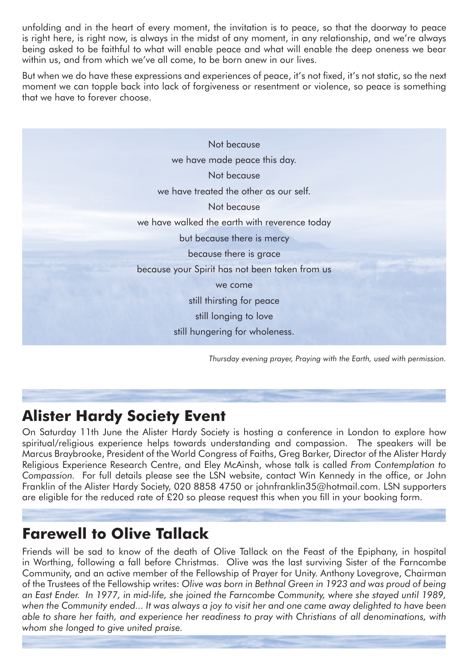unfolding and in the heart of every moment, the invitation is to peace, so that the doorway to peace is right here, is right now, is always in the midst of any moment, in any relationship, and we're always being asked to be faithful to what will enable peace and what will enable the deep oneness we bear within us, and from which we've all come, to be born anew in our lives.

But when we do have these expressions and experiences of peace, it's not fixed, it's not static, so the next moment we can topple back into lack of forgiveness or resentment or violence, so peace is something that we have to forever choose.

| Not because                                    |  |
|------------------------------------------------|--|
| we have made peace this day.                   |  |
| Not because                                    |  |
| we have treated the other as our self.         |  |
| Not because                                    |  |
| we have walked the earth with reverence today  |  |
| but because there is mercy                     |  |
| because there is grace                         |  |
| because your Spirit has not been taken from us |  |
| we come                                        |  |
| still thirsting for peace                      |  |
| still longing to love                          |  |
| still hungering for wholeness.                 |  |
|                                                |  |

*Thursday evening prayer, Praying with the Earth, used with permission.*

# **Alister Hardy Society Event**

On Saturday 11th June the Alister Hardy Society is hosting a conference in London to explore how spiritual/religious experience helps towards understanding and compassion. The speakers will be Marcus Braybrooke, President of the World Congress of Faiths, Greg Barker, Director of the Alister Hardy Religious Experience Research Centre, and Eley McAinsh, whose talk is called *From Contemplation to Compassion.* For full details please see the LSN website, contact Win Kennedy in the office, or John Franklin of the Alister Hardy Society, 020 8858 4750 or johnfranklin35@hotmail.com. LSN supporters are eligible for the reduced rate of £20 so please request this when you fill in your booking form.

# **Farewell to Olive Tallack**

Friends will be sad to know of the death of Olive Tallack on the Feast of the Epiphany, in hospital in Worthing, following a fall before Christmas. Olive was the last surviving Sister of the Farncombe Community, and an active member of the Fellowship of Prayer for Unity. Anthony Lovegrove, Chairman of the Trustees of the Fellowship writes: *Olive was born in Bethnal Green in 1923 and was proud of being an East Ender. In 1977, in mid-life, she joined the Farncombe Community, where she stayed until 1989, when the Community ended... It was always a joy to visit her and one came away delighted to have been able to share her faith, and experience her readiness to pray with Christians of all denominations, with whom she longed to give united praise.*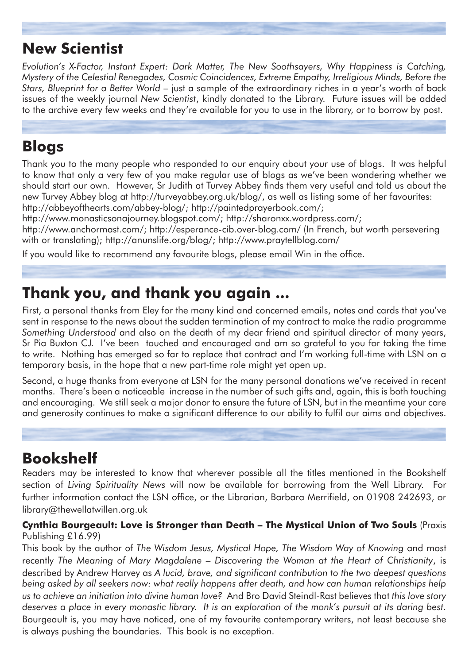# **New Scientist**

*Evolution's X-Factor, Instant Expert: Dark Matter, The New Soothsayers, Why Happiness is Catching, Mystery of the Celestial Renegades, Cosmic Coincidences, Extreme Empathy, Irreligious Minds, Before the Stars, Blueprint for a Better World* – just a sample of the extraordinary riches in a year's worth of back issues of the weekly journal *New Scientist*, kindly donated to the Library. Future issues will be added to the archive every few weeks and they're available for you to use in the library, or to borrow by post.

### **Blogs**

Thank you to the many people who responded to our enquiry about your use of blogs. It was helpful to know that only a very few of you make regular use of blogs as we've been wondering whether we should start our own. However, Sr Judith at Turvey Abbey finds them very useful and told us about the new Turvey Abbey blog at http://turveyabbey.org.uk/blog/, as well as listing some of her favourites: http://abbeyofthearts.com/abbey-blog/; http://paintedprayerbook.com/;

http://www.monasticsonajourney.blogspot.com/; http://sharonxx.wordpress.com/;

http://www.anchormast.com/; http://esperance-cib.over-blog.com/ (In French, but worth persevering with or translating); http://anunslife.org/blog/; http://www.praytellblog.com/

If you would like to recommend any favourite blogs, please email Win in the office.

# **Thank you, and thank you again ...**

First, a personal thanks from Eley for the many kind and concerned emails, notes and cards that you've sent in response to the news about the sudden termination of my contract to make the radio programme *Something Understood* and also on the death of my dear friend and spiritual director of many years, Sr Pia Buxton CJ. I've been touched and encouraged and am so grateful to you for taking the time to write. Nothing has emerged so far to replace that contract and I'm working full-time with LSN on a temporary basis, in the hope that a new part-time role might yet open up.

Second, a huge thanks from everyone at LSN for the many personal donations we've received in recent months. There's been a noticeable increase in the number of such gifts and, again, this is both touching and encouraging. We still seek a major donor to ensure the future of LSN, but in the meantime your care and generosity continues to make a significant difference to our ability to fulfil our aims and objectives.

# **Bookshelf**

Readers may be interested to know that wherever possible all the titles mentioned in the Bookshelf section of *Living Spirituality News* will now be available for borrowing from the Well Library. For further information contact the LSN office, or the Librarian, Barbara Merrifield, on 01908 242693, or library@thewellatwillen.org.uk

#### **Cynthia Bourgeault: Love is Stronger than Death – The Mystical Union of Two Souls** (Praxis Publishing £16.99)

This book by the author of *The Wisdom Jesus, Mystical Hope, The Wisdom Way of Knowing* and most recently *The Meaning of Mary Magdalene – Discovering the Woman at the Heart of Christianity*, is described by Andrew Harvey as *A lucid, brave, and significant contribution to the two deepest questions being asked by all seekers now: what really happens after death, and how can human relationships help us to achieve an initiation into divine human love?* And Bro David Steindl-Rast believes that *this love story deserves a place in every monastic library. It is an exploration of the monk's pursuit at its daring best.*  Bourgeault is, you may have noticed, one of my favourite contemporary writers, not least because she is always pushing the boundaries. This book is no exception.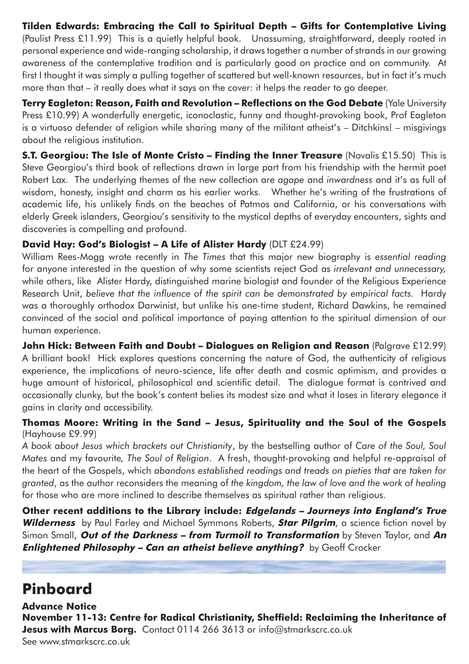**Tilden Edwards: Embracing the Call to Spiritual Depth – Gifts for Contemplative Living** (Paulist Press £11.99) This is a quietly helpful book. Unassuming, straightforward, deeply rooted in personal experience and wide-ranging scholarship, it draws together a number of strands in our growing awareness of the contemplative tradition and is particularly good on practice and on community. At first I thought it was simply a pulling together of scattered but well-known resources, but in fact it's much more than that – it really does what it says on the cover: it helps the reader to go deeper.

**Terry Eagleton: Reason, Faith and Revolution – Reflections on the God Debate** (Yale University Press £10.99) A wonderfully energetic, iconoclastic, funny and thought-provoking book, Prof Eagleton is a virtuoso defender of religion while sharing many of the militant atheist's – Ditchkins! – misgivings about the religious institution.

**S.T. Georgiou: The Isle of Monte Cristo – Finding the Inner Treasure** (Novalis £15.50) This is Steve Georgiou's third book of reflections drawn in large part from his friendship with the hermit poet Robert Lax. The underlying themes of the new collection are *agape* and *inwardness* and it's as full of wisdom, honesty, insight and charm as his earlier works. Whether he's writing of the frustrations of academic life, his unlikely finds on the beaches of Patmos and California, or his conversations with elderly Greek islanders, Georgiou's sensitivity to the mystical depths of everyday encounters, sights and discoveries is compelling and profound.

### **David Hay: God's Biologist – A Life of Alister Hardy** (DLT £24.99)

William Rees-Mogg wrote recently in *The Times* that this major new biography is *essential reading* for anyone interested in the question of why some scientists reject God as *irrelevant and unnecessary,* while others, like Alister Hardy, distinguished marine biologist and founder of the Religious Experience Research Unit, *believe that the influence of the spirit can be demonstrated by empirical facts.* Hardy was a thoroughly orthodox Darwinist, but unlike his one-time student, Richard Dawkins, he remained convinced of the social and political importance of paying attention to the spiritual dimension of our human experience.

**John Hick: Between Faith and Doubt – Dialogues on Religion and Reason** (Palgrave £12.99) A brilliant book! Hick explores questions concerning the nature of God, the authenticity of religious experience, the implications of neuro-science, life after death and cosmic optimism, and provides a huge amount of historical, philosophical and scientific detail. The dialogue format is contrived and occasionally clunky, but the book's content belies its modest size and what it loses in literary elegance it gains in clarity and accessibility.

### **Thomas Moore: Writing in the Sand – Jesus, Spirituality and the Soul of the Gospels** (Hayhouse £9.99)

*A book about Jesus which brackets out Christianity*, by the bestselling author of *Care of the Soul, Soul Mates* and my favourite*, The Soul of Religion*. A fresh, thought-provoking and helpful re-appraisal of the heart of the Gospels, which *abandons established readings and treads on pieties that are taken for granted*, as the author reconsiders the meaning of *the kingdom, the law of love and the work of healing*  for those who are more inclined to describe themselves as spiritual rather than religious.

**Other recent additions to the Library include: Edgelands – Journeys into England's True Wilderness** by Paul Farley and Michael Symmons Roberts, **Star Pilgrim**, a science fiction novel by Simon Small, **Out of the Darkness – from Turmoil to Transformation** by Steven Taylor, and **An Enlightened Philosophy – Can an atheist believe anything?** by Geoff Crocker

# **Pinboard**

**Advance Notice November 11-13: Centre for Radical Christianity, Sheffield: Reclaiming the Inheritance of Jesus with Marcus Borg.** Contact 0114 266 3613 or info@stmarkscrc.co.uk See www.stmarkscrc.co.uk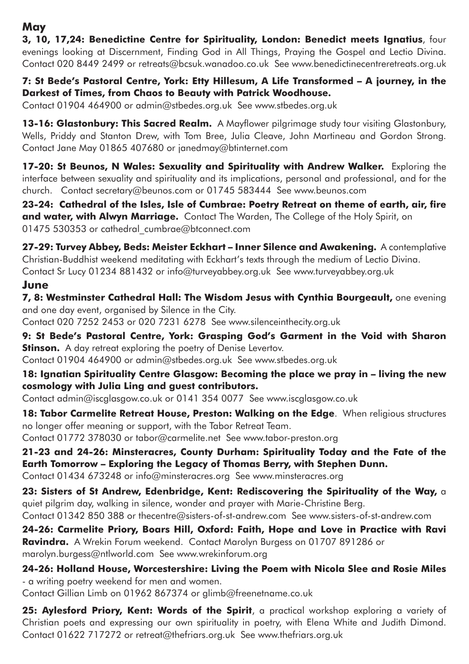### **May**

**3, 10, 17,24: Benedictine Centre for Spirituality, London: Benedict meets Ignatius**, four evenings looking at Discernment, Finding God in All Things, Praying the Gospel and Lectio Divina. Contact 020 8449 2499 or retreats@bcsuk.wanadoo.co.uk See www.benedictinecentreretreats.org.uk

**7: St Bede's Pastoral Centre, York: Etty Hillesum, A Life Transformed – A journey, in the Darkest of Times, from Chaos to Beauty with Patrick Woodhouse.**

Contact 01904 464900 or admin@stbedes.org.uk See www.stbedes.org.uk

**13-16: Glastonbury: This Sacred Realm.** A Mayflower pilgrimage study tour visiting Glastonbury, Wells, Priddy and Stanton Drew, with Tom Bree, Julia Cleave, John Martineau and Gordon Strong. Contact Jane May 01865 407680 or janedmay@btinternet.com

**17-20: St Beunos, N Wales: Sexuality and Spirituality with Andrew Walker.** Exploring the interface between sexuality and spirituality and its implications, personal and professional, and for the church. Contact secretary@beunos.com or 01745 583444 See www.beunos.com

**23-24: Cathedral of the Isles, Isle of Cumbrae: Poetry Retreat on theme of earth, air, fire and water, with Alwyn Marriage.** Contact The Warden, The College of the Holy Spirit, on 01475 530353 or cathedral\_cumbrae@btconnect.com

**27-29: Turvey Abbey, Beds: Meister Eckhart – Inner Silence and Awakening.** A contemplative Christian-Buddhist weekend meditating with Eckhart's texts through the medium of Lectio Divina. Contact Sr Lucy 01234 881432 or info@turveyabbey.org.uk See www.turveyabbey.org.uk

### **June**

**7, 8: Westminster Cathedral Hall: The Wisdom Jesus with Cynthia Bourgeault,** one evening and one day event, organised by Silence in the City.

Contact 020 7252 2453 or 020 7231 6278 See www.silenceinthecity.org.uk

**9: St Bede's Pastoral Centre, York: Grasping God's Garment in the Void with Sharon Stinson.** A day retreat exploring the poetry of Denise Levertov. Contact 01904 464900 or admin@stbedes.org.uk See www.stbedes.org.uk

**18: Ignatian Spirituality Centre Glasgow: Becoming the place we pray in – living the new cosmology with Julia Ling and guest contributors.**

Contact admin@iscglasgow.co.uk or 0141 354 0077 See www.iscglasgow.co.uk

**18: Tabor Carmelite Retreat House, Preston: Walking on the Edge**. When religious structures no longer offer meaning or support, with the Tabor Retreat Team.

Contact 01772 378030 or tabor@carmelite.net See www.tabor-preston.org

**21-23 and 24-26: Minsteracres, County Durham: Spirituality Today and the Fate of the Earth Tomorrow – Exploring the Legacy of Thomas Berry, with Stephen Dunn.** Contact 01434 673248 or info@minsteracres.org See www.minsteracres.org

**23: Sisters of St Andrew, Edenbridge, Kent: Rediscovering the Spirituality of the Way,** a quiet pilgrim day, walking in silence, wonder and prayer with Marie-Christine Berg. Contact 01342 850 388 or thecentre@sisters-of-st-andrew.com See www.sisters-of-st-andrew.com

**24-26: Carmelite Priory, Boars Hill, Oxford: Faith, Hope and Love in Practice with Ravi Ravindra.** A Wrekin Forum weekend. Contact Marolyn Burgess on 01707 891286 or marolyn.burgess@ntlworld.com See www.wrekinforum.org

**24-26: Holland House, Worcestershire: Living the Poem with Nicola Slee and Rosie Miles** - a writing poetry weekend for men and women.

Contact Gillian Limb on 01962 867374 or glimb@freenetname.co.uk

25: Aylesford Priory, Kent: Words of the Spirit, a practical workshop exploring a variety of Christian poets and expressing our own spirituality in poetry, with Elena White and Judith Dimond. Contact 01622 717272 or retreat@thefriars.org.uk See www.thefriars.org.uk